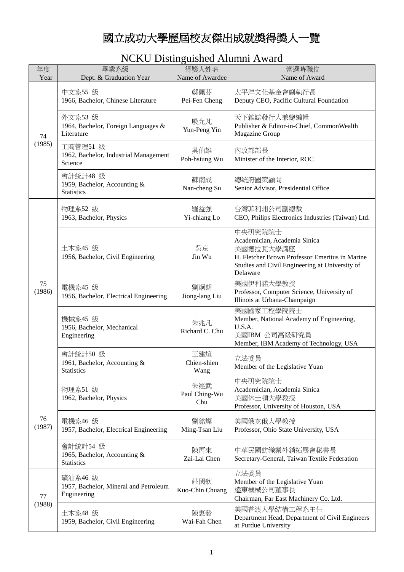## 國立成功大學歷屆校友傑出成就獎得獎人一覽

## NCKU Distinguished Alumni Award

| 年度<br>Year   | 畢業系級<br>Dept. & Graduation Year                                 | 得獎人姓名<br>Name of Awardee    | 當選時職位<br>Name of Award                                                                                                                                               |
|--------------|-----------------------------------------------------------------|-----------------------------|----------------------------------------------------------------------------------------------------------------------------------------------------------------------|
| 74<br>(1985) | 中文系55 級<br>1966, Bachelor, Chinese Literature                   | 鄭佩芬<br>Pei-Fen Cheng        | 太平洋文化基金會副執行長<br>Deputy CEO, Pacific Cultural Foundation                                                                                                              |
|              | 外文系53 級<br>1964, Bachelor, Foreign Languages &<br>Literature    | 殷允芃<br>Yun-Peng Yin         | 天下雜誌發行人兼總編輯<br>Publisher & Editor-in-Chief, CommonWealth<br>Magazine Group                                                                                           |
|              | 工商管理51 級<br>1962, Bachelor, Industrial Management<br>Science    | 吳伯雄<br>Poh-hsiung Wu        | 内政部部長<br>Minister of the Interior, ROC                                                                                                                               |
|              | 會計統計48 級<br>1959, Bachelor, Accounting &<br><b>Statistics</b>   | 蘇南成<br>Nan-cheng Su         | 總統府國策顧問<br>Senior Advisor, Presidential Office                                                                                                                       |
|              | 物理系52 級<br>1963, Bachelor, Physics                              | 羅益強<br>Yi-chiang Lo         | 台灣菲利浦公司副總裁<br>CEO, Philips Electronics Industries (Taiwan) Ltd.                                                                                                      |
|              | 土木系45 級<br>1956, Bachelor, Civil Engineering                    | 吳京<br>Jin Wu                | 中央研究院院士<br>Academician, Academia Sinica<br>美國德拉瓦大學講座<br>H. Fletcher Brown Professor Emeritus in Marine<br>Studies and Civil Engineering at University of<br>Delaware |
| 75<br>(1986) | 電機系45 級<br>1956, Bachelor, Electrical Engineering               | 劉炯朗<br>Jiong-lang Liu       | 美國伊利諾大學教授<br>Professor, Computer Science, University of<br>Illinois at Urbana-Champaign                                                                              |
|              | 機械系45 級<br>1956, Bachelor, Mechanical<br>Engineering            | 朱兆凡<br>Richard C. Chu       | 美國國家工程學院院士<br>Member, National Academy of Engineering,<br>U.S.A.<br>美國IBM 公司高級研究員<br>Member, IBM Academy of Technology, USA                                          |
|              | 會計統計50 級<br>1961, Bachelor, Accounting &<br><b>Statistics</b>   | 王建煊<br>Chien-shien<br>Wang  | 立法委員<br>Member of the Legislative Yuan                                                                                                                               |
| 76<br>(1987) | 物理系51 級<br>1962, Bachelor, Physics                              | 朱經武<br>Paul Ching-Wu<br>Chu | 中央研究院院士<br>Academician, Academia Sinica<br>美國休士頓大學教授<br>Professor, University of Houston, USA                                                                        |
|              | 電機系46 級<br>1957, Bachelor, Electrical Engineering               | 劉銘燦<br>Ming-Tsan Liu        | 美國俄亥俄大學教授<br>Professor, Ohio State University, USA                                                                                                                   |
|              | 會計統計54 級<br>1965, Bachelor, Accounting &<br><b>Statistics</b>   | 陳再來<br>Zai-Lai Chen         | 中華民國紡織業外銷拓展會秘書長<br>Secretary-General, Taiwan Textile Federation                                                                                                      |
| 77<br>(1988) | 礦油系46 級<br>1957, Bachelor, Mineral and Petroleum<br>Engineering | 莊國欽<br>Kuo-Chin Chuang      | 立法委員<br>Member of the Legislative Yuan<br>遠東機械公司董事長<br>Chairman, Far East Machinery Co. Ltd.                                                                         |
|              | 土木系48 級<br>1959, Bachelor, Civil Engineering                    | 陳惠發<br>Wai-Fah Chen         | 美國普渡大學結構工程系主任<br>Department Head, Department of Civil Engineers<br>at Purdue University                                                                              |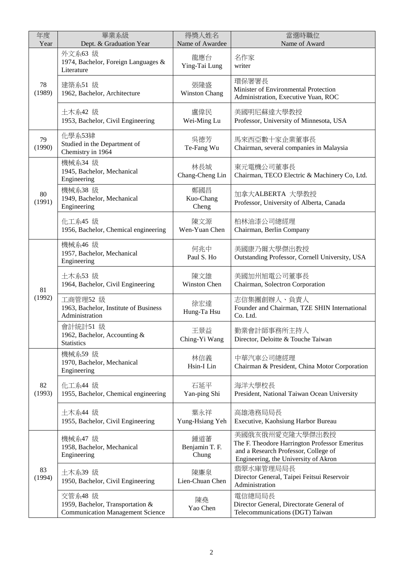| 年度<br>Year   | 畢業系級<br>Dept. & Graduation Year                                                        | 得獎人姓名<br>Name of Awardee       | 當選時職位<br>Name of Award                                                                                                                           |
|--------------|----------------------------------------------------------------------------------------|--------------------------------|--------------------------------------------------------------------------------------------------------------------------------------------------|
|              | 外文系63 級<br>1974, Bachelor, Foreign Languages &<br>Literature                           | 龍應台<br>Ying-Tai Lung           | 名作家<br>writer                                                                                                                                    |
| 78<br>(1989) | 建築系51 級<br>1962, Bachelor, Architecture                                                | 張隆盛<br><b>Winston Chang</b>    | 環保署署長<br>Minister of Environmental Protection<br>Administration, Executive Yuan, ROC                                                             |
|              | 土木系42 級<br>1953, Bachelor, Civil Engineering                                           | 盧偉民<br>Wei-Ming Lu             | 美國明尼蘇達大學教授<br>Professor, University of Minnesota, USA                                                                                            |
| 79<br>(1990) | 化學系53肄<br>Studied in the Department of<br>Chemistry in 1964                            | 吳德芳<br>Te-Fang Wu              | 馬來西亞數十家企業董事長<br>Chairman, several companies in Malaysia                                                                                          |
|              | 機械系34 級<br>1945, Bachelor, Mechanical<br>Engineering                                   | 林長城<br>Chang-Cheng Lin         | 東元電機公司董事長<br>Chairman, TECO Electric & Machinery Co, Ltd.                                                                                        |
| 80<br>(1991) | 機械系38 級<br>1949, Bachelor, Mechanical<br>Engineering                                   | 鄭國昌<br>Kuo-Chang<br>Cheng      | 加拿大ALBERTA 大學教授<br>Professor, University of Alberta, Canada                                                                                      |
|              | 化工系45 級<br>1956, Bachelor, Chemical engineering                                        | 陳文源<br>Wen-Yuan Chen           | 柏林油漆公司總經理<br>Chairman, Berlin Company                                                                                                            |
|              | 機械系46 級<br>1957, Bachelor, Mechanical<br>Engineering                                   | 何兆中<br>Paul S. Ho              | 美國康乃爾大學傑出教授<br>Outstanding Professor, Cornell University, USA                                                                                    |
| 81           | 土木系53 級<br>1964, Bachelor, Civil Engineering                                           | 陳文雄<br>Winston Chen            | 美國加州旭電公司董事長<br>Chairman, Solectron Corporation                                                                                                   |
| (1992)       | 工商管理52 級<br>1963, Bachelor, Institute of Business<br>Administration                    | 徐宏達<br>Hung-Ta Hsu             | 志信集團創辦人、負責人<br>Founder and Chairman, TZE SHIN International<br>Co. Ltd.                                                                          |
|              | 會計統計51 級<br>1962, Bachelor, Accounting &<br><b>Statistics</b>                          | 王景益<br>Ching-Yi Wang           | 勤業會計師事務所主持人<br>Director, Deloitte & Touche Taiwan                                                                                                |
| 82<br>(1993) | 機械系59級<br>1970, Bachelor, Mechanical<br>Engineering                                    | 林信義<br>Hsin-I Lin              | 中華汽車公司總經理<br>Chairman & President, China Motor Corporation                                                                                       |
|              | 化工系44 級<br>1955, Bachelor, Chemical engineering                                        | 石延平<br>Yan-ping Shi            | 海洋大學校長<br>President, National Taiwan Ocean University                                                                                            |
|              | 土木系44 級<br>1955, Bachelor, Civil Engineering                                           | 葉永祥<br>Yung-Hsiang Yeh         | 高雄港務局局長<br>Executive, Kaohsiung Harbor Bureau                                                                                                    |
|              | 機械系47 級<br>1958, Bachelor, Mechanical<br>Engineering                                   | 鍾道蕃<br>Benjamin T. F.<br>Chung | 美國俄亥俄州愛克隆大學傑出教授<br>The F. Theodore Harrington Professor Emeritus<br>and a Research Professor, College of<br>Engineering, the University of Akron |
| 83<br>(1994) | 土木系39 級<br>1950, Bachelor, Civil Engineering                                           | 陳廉泉<br>Lien-Chuan Chen         | 翡翠水庫管理局局長<br>Director General, Taipei Feitsui Reservoir<br>Administration                                                                        |
|              | 交管系48 級<br>1959, Bachelor, Transportation &<br><b>Communication Management Science</b> | 陳堯<br>Yao Chen                 | 電信總局局長<br>Director General, Directorate General of<br>Telecommunications (DGT) Taiwan                                                            |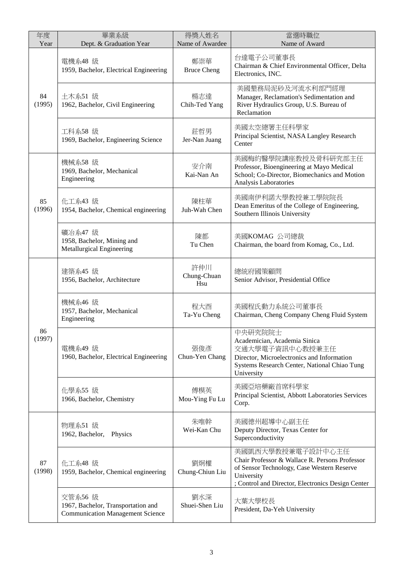| 年度<br>Year   | 畢業系級<br>Dept. & Graduation Year                                                          | 得獎人姓名<br>Name of Awardee  | 當選時職位<br>Name of Award                                                                                                                                                               |
|--------------|------------------------------------------------------------------------------------------|---------------------------|--------------------------------------------------------------------------------------------------------------------------------------------------------------------------------------|
|              | 電機系48 級<br>1959, Bachelor, Electrical Engineering                                        | 鄭崇華<br><b>Bruce Cheng</b> | 台達電子公司董事長<br>Chairman & Chief Environmental Officer, Delta<br>Electronics, INC.                                                                                                      |
| 84<br>(1995) | 土木系51 級<br>1962, Bachelor, Civil Engineering                                             | 楊志達<br>Chih-Ted Yang      | 美國墾務局泥砂及河流水利部門經理<br>Manager, Reclamation's Sedimentation and<br>River Hydraulics Group, U.S. Bureau of<br>Reclamation                                                                |
|              | 工科系58 級<br>1969, Bachelor, Engineering Science                                           | 莊哲男<br>Jer-Nan Juang      | 美國太空總署主任科學家<br>Principal Scientist, NASA Langley Research<br>Center                                                                                                                  |
|              | 機械系58 級<br>1969, Bachelor, Mechanical<br>Engineering                                     | 安介南<br>Kai-Nan An         | 美國梅約醫學院講座教授及骨科研究部主任<br>Professor, Bioengineering at Mayo Medical<br>School; Co-Director, Biomechanics and Motion<br>Analysis Laboratories                                            |
| 85<br>(1996) | 化工系43 級<br>1954, Bachelor, Chemical engineering                                          | 陳柱華<br>Juh-Wah Chen       | 美國南伊利諾大學教授兼工學院院長<br>Dean Emeritus of the College of Engineering,<br>Southern Illinois University                                                                                     |
|              | 礦冶系47 級<br>1958, Bachelor, Mining and<br>Metallurgical Engineering                       | 陳都<br>Tu Chen             | 美國KOMAG 公司總裁<br>Chairman, the board from Komag, Co., Ltd.                                                                                                                            |
| 86<br>(1997) | 建築系45 級<br>1956, Bachelor, Architecture                                                  | 許仲川<br>Chung-Chuan<br>Hsu | 總統府國策顧問<br>Senior Advisor, Presidential Office                                                                                                                                       |
|              | 機械系46 級<br>1957, Bachelor, Mechanical<br>Engineering                                     | 程大酉<br>Ta-Yu Cheng        | 美國程氏動力系統公司董事長<br>Chairman, Cheng Company Cheng Fluid System                                                                                                                          |
|              | 電機系49 級<br>1960, Bachelor, Electrical Engineering                                        | 張俊彥<br>Chun-Yen Chang     | 中央研究院院士<br>Academician, Academia Sinica<br>交通大學電子資訊中心教授兼主任<br>Director, Microelectronics and Information<br>Systems Research Center, National Chiao Tung<br>University               |
|              | 化學系55 級<br>1966, Bachelor, Chemistry                                                     | 傅模英<br>Mou-Ying Fu Lu     | 美國亞培藥廠首席科學家<br>Principal Scientist, Abbott Laboratories Services<br>Corp.                                                                                                            |
| 87<br>(1998) | 物理系51 級<br>1962, Bachelor, Physics                                                       | 朱唯幹<br>Wei-Kan Chu        | 美國德州超導中心副主任<br>Deputy Director, Texas Center for<br>Superconductivity                                                                                                                |
|              | 化工系48 級<br>1959, Bachelor, Chemical engineering                                          | 劉炯權<br>Chung-Chiun Liu    | 美國凱西大學教授兼電子設計中心主任<br>Chair Professor & Wallace R. Persons Professor<br>of Sensor Technology, Case Western Reserve<br>University<br>; Control and Director, Electronics Design Center |
|              | 交管系56 級<br>1967, Bachelor, Transportation and<br><b>Communication Management Science</b> | 劉水深<br>Shuei-Shen Liu     | 大葉大學校長<br>President, Da-Yeh University                                                                                                                                               |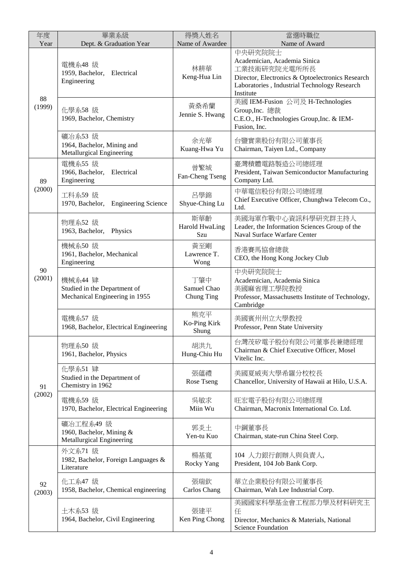| 年度<br>Year   | 畢業系級<br>Dept. & Graduation Year                                           | 得獎人姓名<br>Name of Awardee            | 當選時職位<br>Name of Award                                                                                                                                                   |
|--------------|---------------------------------------------------------------------------|-------------------------------------|--------------------------------------------------------------------------------------------------------------------------------------------------------------------------|
| 88<br>(1999) | 電機系48 級<br>Electrical<br>1959, Bachelor,<br>Engineering                   | 林耕華<br>Keng-Hua Lin                 | 中央研究院院士<br>Academician, Academia Sinica<br>工業技術研究院光電所所長<br>Director, Electronics & Optoelectronics Research<br>Laboratories, Industrial Technology Research<br>Institute |
|              | 化學系58 級<br>1969, Bachelor, Chemistry                                      | 黃桑希蘭<br>Jennie S. Hwang             | 美國 IEM-Fusion 公司及 H-Technologies<br>Group, Inc. 總裁<br>C.E.O., H-Technologies Group, Inc. & IEM-<br>Fusion, Inc.                                                          |
|              | 礦冶系53 級<br>1964, Bachelor, Mining and<br>Metallurgical Engineering        | 余光華<br>Kuang-Hwa Yu                 | 台鹽實業股份有限公司董事長<br>Chairman, Taiyen Ltd., Company                                                                                                                          |
| 89           | 電機系55 級<br>1966, Bachelor,<br>Electrical<br>Engineering                   | 曾繁城<br>Fan-Cheng Tseng              | 臺灣積體電路製造公司總經理<br>President, Taiwan Semiconductor Manufacturing<br>Company Ltd.                                                                                           |
| (2000)       | 工科系59 級<br>1970, Bachelor,<br><b>Engineering Science</b>                  | 呂學錦<br>Shyue-Ching Lu               | 中華電信股份有限公司總經理<br>Chief Executive Officer, Chunghwa Telecom Co.,<br>Ltd.                                                                                                  |
|              | 物理系52 級<br>1963, Bachelor,<br>Physics                                     | 斯華齡<br><b>Harold HwaLing</b><br>Szu | 美國海軍作戰中心資訊科學研究群主持人<br>Leader, the Information Sciences Group of the<br>Naval Surface Warfare Center                                                                      |
|              | 機械系50 級<br>1961, Bachelor, Mechanical<br>Engineering                      | 黃至剛<br>Lawrence T.<br>Wong          | 香港賽馬協會總裁<br>CEO, the Hong Kong Jockey Club                                                                                                                               |
| 90<br>(2001) | 機械系44 肄<br>Studied in the Department of<br>Mechanical Engineering in 1955 | 丁肇中<br>Samuel Chao<br>Chung Ting    | 中央研究院院士<br>Academician, Academia Sinica<br>美國麻省理工學院教授<br>Professor, Massachusetts Institute of Technology,<br>Cambridge                                                  |
|              | 電機系57 級<br>1968, Bachelor, Electrical Engineering                         | 熊克平<br>Ko-Ping Kirk<br>Shung        | 美國賓州州立大學教授<br>Professor, Penn State University                                                                                                                           |
|              | 物理系50 級<br>1961, Bachelor, Physics                                        | 胡洪九<br>Hung-Chiu Hu                 | 台灣茂矽電子股份有限公司董事長兼總經理<br>Chairman & Chief Executive Officer, Mosel<br>Vitelic Inc.                                                                                         |
| 91           | 化學系51 肄<br>Studied in the Department of<br>Chemistry in 1962              | 張蘊禮<br>Rose Tseng                   | 美國夏威夷大學希羅分校校長<br>Chancellor, University of Hawaii at Hilo, U.S.A.                                                                                                        |
| (2002)       | 電機系59級<br>1970, Bachelor, Electrical Engineering                          | 吳敏求<br>Miin Wu                      | 旺宏電子股份有限公司總經理<br>Chairman, Macronix International Co. Ltd.                                                                                                               |
|              | 礦冶工程系49 級<br>1960, Bachelor, Mining &<br>Metallurgical Engineering        | 郭炎土<br>Yen-tu Kuo                   | 中鋼董事長<br>Chairman, state-run China Steel Corp.                                                                                                                           |
|              | 外文系71 級<br>1982, Bachelor, Foreign Languages &<br>Literature              | 楊基寬<br>Rocky Yang                   | 104 人力銀行創辦人與負責人,<br>President, 104 Job Bank Corp.                                                                                                                        |
| 92<br>(2003) | 化工系47 級<br>1958, Bachelor, Chemical engineering                           | 張瑞欽<br>Carlos Chang                 | 華立企業股份有限公司董事長<br>Chairman, Wah Lee Industrial Corp.                                                                                                                      |
|              | 土木系53 級<br>1964, Bachelor, Civil Engineering                              | 張建平<br>Ken Ping Chong               | 美國國家科學基金會工程部力學及材料研究主<br>任<br>Director, Mechanics & Materials, National<br><b>Science Foundation</b>                                                                      |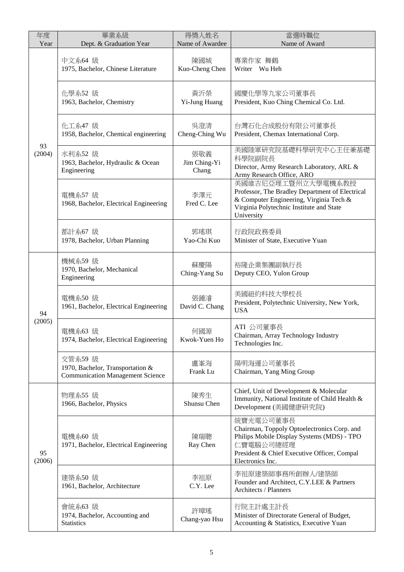| 年度<br>Year   | 畢業系級<br>Dept. & Graduation Year                                                        | 得獎人姓名<br>Name of Awardee     | 當選時職位<br>Name of Award                                                                                                                                                                 |
|--------------|----------------------------------------------------------------------------------------|------------------------------|----------------------------------------------------------------------------------------------------------------------------------------------------------------------------------------|
|              | 中文系64 級<br>1975, Bachelor, Chinese Literature                                          | 陳國城<br>Kuo-Cheng Chen        | 專業作家 舞鶴<br>Writer Wu Heh                                                                                                                                                               |
|              | 化學系52 級<br>1963, Bachelor, Chemistry                                                   | 黃沂榮<br>Yi-Jung Huang         | 國慶化學等九家公司董事長<br>President, Kuo Ching Chemical Co. Ltd.                                                                                                                                 |
|              | 化工系47 級<br>1958, Bachelor, Chemical engineering                                        | 吳澄清<br>Cheng-Ching Wu        | 台灣石化合成股份有限公司董事長<br>President, Chemax International Corp.                                                                                                                               |
| 93<br>(2004) | 水利系52 級<br>1963, Bachelor, Hydraulic & Ocean<br>Engineering                            | 張敬義<br>Jim Ching-Yi<br>Chang | 美國陸軍研究院基礎科學研究中心主任兼基礎<br>科學院副院長<br>Director, Army Research Laboratory, ARL &<br>Army Research Office, ARO                                                                               |
|              | 電機系57 級<br>1968, Bachelor, Electrical Engineering                                      | 李澤元<br>Fred C. Lee           | 美國維吉尼亞理工暨州立大學電機系教授<br>Professor, The Bradley Department of Electrical<br>& Computer Engineering, Virginia Tech &<br>Virginia Polytechnic Institute and State<br>University             |
|              | 都計系67 級<br>1978, Bachelor, Urban Planning                                              | 郭瑤琪<br>Yao-Chi Kuo           | 行政院政務委員<br>Minister of State, Executive Yuan                                                                                                                                           |
|              | 機械系59 級<br>1970, Bachelor, Mechanical<br>Engineering                                   | 蘇慶陽<br>Ching-Yang Su         | 裕隆企業集團副執行長<br>Deputy CEO, Yulon Group                                                                                                                                                  |
| 94           | 電機系50級<br>1961, Bachelor, Electrical Engineering                                       | 張鍾濬<br>David C. Chang        | 美國紐約科技大學校長<br>President, Polytechnic University, New York,<br><b>USA</b>                                                                                                               |
| (2005)       | 電機系63 級<br>1974, Bachelor, Electrical Engineering                                      | 何國源<br>Kwok-Yuen Ho          | ATI 公司董事長<br>Chairman, Array Technology Industry<br>Technologies Inc.                                                                                                                  |
|              | 交管系59 級<br>1970, Bachelor, Transportation &<br><b>Communication Management Science</b> | 盧峯海<br>Frank Lu              | 陽明海運公司董事長<br>Chairman, Yang Ming Group                                                                                                                                                 |
|              | 物理系55 級<br>1966, Bachelor, Physics                                                     | 陳秀生<br>Shunsu Chen           | Chief, Unit of Development & Molecular<br>Immunity, National Institute of Child Health &<br>Development (美國健康研究院)                                                                      |
| 95<br>(2006) | 電機系60 級<br>1971, Bachelor, Electrical Engineering                                      | 陳瑞聰<br>Ray Chen              | 統寶光電公司董事長<br>Chairman, Toppoly Optoelectronics Corp. and<br>Philips Mobile Display Systems (MDS) - TPO<br>仁寶電腦公司總經理<br>President & Chief Executive Officer, Compal<br>Electronics Inc. |
|              | 建築系50 級<br>1961, Bachelor, Architecture                                                | 李祖原<br>C.Y. Lee              | 李祖原建築師事務所創辦人/建築師<br>Founder and Architect, C.Y.LEE & Partners<br><b>Architects / Planners</b>                                                                                          |
|              | 會統系63 級<br>1974, Bachelor, Accounting and<br><b>Statistics</b>                         | 許璋瑤<br>Chang-yao Hsu         | 行院主計處主計長<br>Minister of Directorate General of Budget,<br>Accounting & Statistics, Executive Yuan                                                                                      |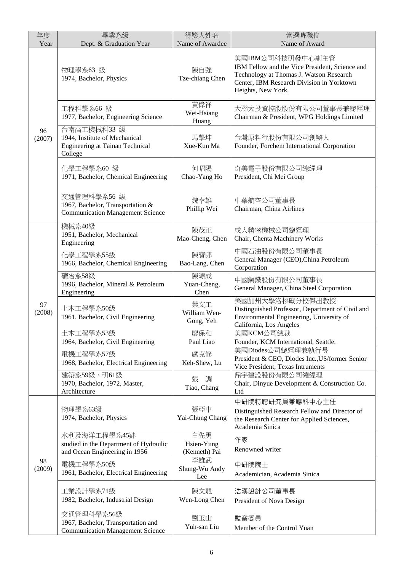| 年度<br>Year   | 畢業系級<br>Dept. & Graduation Year                                                                   | 得獎人姓名<br>Name of Awardee           | 當選時職位<br>Name of Award                                                                                                                                                           |
|--------------|---------------------------------------------------------------------------------------------------|------------------------------------|----------------------------------------------------------------------------------------------------------------------------------------------------------------------------------|
| 96<br>(2007) | 物理學系63 級<br>1974, Bachelor, Physics                                                               | 陳自強<br>Tze-chiang Chen             | 美國IBM公司科技研發中心副主管<br>IBM Fellow and the Vice President, Science and<br>Technology at Thomas J. Watson Research<br>Center, IBM Research Division in Yorktown<br>Heights, New York. |
|              | 工程科學系66 級<br>1977, Bachelor, Engineering Science                                                  | 黃偉祥<br>Wei-Hsiang<br>Huang         | 大聯大投資控股股份有限公司董事長兼總經理<br>Chairman & President, WPG Holdings Limited                                                                                                               |
|              | 台南高工機械科33 級<br>1944, Institute of Mechanical<br><b>Engineering at Tainan Technical</b><br>College | 馬學坤<br>Xue-Kun Ma                  | 台灣原料行股份有限公司創辦人<br>Founder, Forchem International Corporation                                                                                                                     |
|              | 化學工程學系60 級<br>1971, Bachelor, Chemical Engineering                                                | 何昭陽<br>Chao-Yang Ho                | 奇美電子股份有限公司總經理<br>President, Chi Mei Group                                                                                                                                        |
|              | 交通管理科學系56 級<br>1967, Bachelor, Transportation &<br><b>Communication Management Science</b>        | 魏幸雄<br>Phillip Wei                 | 中華航空公司董事長<br>Chairman, China Airlines                                                                                                                                            |
|              | 機械系40級<br>1951, Bachelor, Mechanical<br>Engineering                                               | 陳茂正<br>Mao-Cheng, Chen             | 成大精密機械公司總經理<br>Chair, Chenta Machinery Works                                                                                                                                     |
|              | 化學工程學系55級<br>1966, Bachelor, Chemical Engineering                                                 | 陳寶郎<br>Bao-Lang, Chen              | 中國石油股份有限公司董事長<br>General Manager (CEO), China Petroleum<br>Corporation                                                                                                           |
|              | 礦冶系58級<br>1996, Bachelor, Mineral & Petroleum<br>Engineering                                      | 陳源成<br>Yuan-Cheng,<br>Chen         | 中國鋼鐵股份有限公司董事長<br>General Manager, China Steel Corporation                                                                                                                        |
| 97<br>(2008) | 土木工程學系50級<br>1961, Bachelor, Civil Engineering                                                    | 葉文工<br>William Wen-<br>Gong, Yeh   | 美國加州大學洛杉磯分校傑出教授<br>Distinguished Professor, Department of Civil and<br>Environmental Engineering, University of<br>California, Los Angeles                                       |
|              | 土木工程學系53級<br>1964, Bachelor, Civil Engineering                                                    | 廖保和<br>Paul Liao                   | 美國KCM公司總裁<br>Founder, KCM International, Seattle.                                                                                                                                |
|              | 電機工程學系57級<br>1968, Bachelor, Electrical Engineering                                               | 盧克修<br>Keh-Shew, Lu                | 美國Diodes公司總經理兼執行長<br>President & CEO, Diodes Inc., US/former Senior<br>Vice President, Texas Intruments                                                                          |
|              | 建築系59級、研61級<br>1970, Bachelor, 1972, Master,<br>Architecture                                      | 調<br>張<br>Tiao, Chang              | 鼎宇建設股份有限公司總經理<br>Chair, Dinyue Development & Construction Co.<br>Ltd                                                                                                             |
| 98<br>(2009) | 物理學系63級<br>1974, Bachelor, Physics                                                                | 張亞中<br>Yai-Chung Chang             | 中研院特聘研究員兼應科中心主任<br>Distinguished Research Fellow and Director of<br>the Research Center for Applied Sciences,<br>Academia Sinica                                                 |
|              | 水利及海洋工程學系45肄<br>studied in the Department of Hydraulic<br>and Ocean Engineering in 1956           | 白先勇<br>Hsien-Yung<br>(Kenneth) Pai | 作家<br>Renowned writer                                                                                                                                                            |
|              | 電機工程學系50級<br>1961, Bachelor, Electrical Engineering                                               | 李雄武<br>Shung-Wu Andy<br>Lee        | 中研院院士<br>Academician, Academia Sinica                                                                                                                                            |
|              | 工業設計學系71級<br>1982, Bachelor, Industrial Design                                                    | 陳文龍<br>Wen-Long Chen               | 浩漢設計公司董事長<br>President of Nova Design                                                                                                                                            |
|              | 交通管理科學系56級<br>1967, Bachelor, Transportation and<br><b>Communication Management Science</b>       | 劉玉山<br>Yuh-san Liu                 | 監察委員<br>Member of the Control Yuan                                                                                                                                               |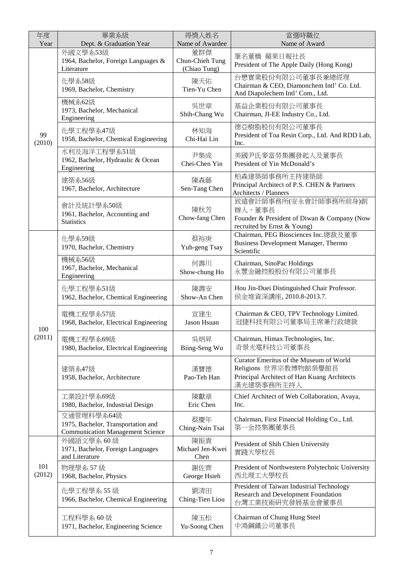| 年度<br>Year    | 畢業系級<br>Dept. & Graduation Year                                                             | 得獎人姓名<br>Name of Awardee               | 當選時職位<br>Name of Award                                                                                                        |
|---------------|---------------------------------------------------------------------------------------------|----------------------------------------|-------------------------------------------------------------------------------------------------------------------------------|
|               | 外國文學系53級<br>1964, Bachelor, Foreign Languages &<br>Literature                               | 董群傑<br>Chun-Chieh Tung<br>(Chiao Tung) | 筆名董橋 蘋果日報社長<br>President of The Apple Daily (Hong Kong)                                                                       |
| 99<br>(2010)  | 化學系58級<br>1969, Bachelor, Chemistry                                                         | 陳天佑<br>Tien-Yu Chen                    | 台懋實業股份有限公司董事長兼總經理<br>Chairman & CEO, Diamonchem Intl' Co. Ltd.<br>And Diapolechem Intl' Com., Ltd.                            |
|               | 機械系62級<br>1973, Bachelor, Mechanical<br>Engineering                                         | 吳世章<br>Shih-Chang Wu                   | 基益企業股份有限公司董事長<br>Chairman, JI-EE Industry Co., Ltd.                                                                           |
|               | 化學工程學系47級<br>1958, Bachelor, Chemical Engineering                                           | 林知海<br>Chi-Hai Lin                     | 德亞樹脂股份有限公司董事長<br>President of Toa Resin Corp., Ltd. And RDD Lab,<br>Inc.                                                      |
|               | 水利及海洋工程學系51級<br>1962, Bachelor, Hydraulic & Ocean<br>Engineering                            | 尹集成<br>Chei-Chen Yin                   | 美國尹氏麥當勞集團發起人及董事長<br>President of Yin McDonald's                                                                               |
|               | 建築系56級<br>1967, Bachelor, Architecture                                                      | 陳森藤<br>Sen-Tang Chen                   | 柏森建築師事務所主持建築師<br>Principal Architect of P.S. CHEN & Partners<br>Architects / Planners                                         |
|               | 會計及統計學系50級<br>1961, Bachelor, Accounting and<br><b>Statistics</b>                           | 陳秋芳<br>Chow-fang Chen                  | 致遠會計師事務所(安永會計師事務所前身)創<br>辦人、董事長<br>Founder & President of Diwan & Company (Now<br>recruited by Ernst & Young)                 |
|               | 化學系59級<br>1970, Bachelor, Chemistry                                                         | 蔡裕庚<br>Yuh-geng Tsay                   | Chairman, PEG Biosciences Inc. 總裁及董事<br><b>Business Development Manager, Thermo</b><br>Scientific                             |
|               | 機械系56級<br>1967, Bachelor, Mechanical<br>Engineering                                         | 何壽川<br>Show-chung Ho                   | Chairman, SinoPac Holdings<br>永豐金融控股股份有限公司董事長                                                                                 |
|               | 化學工程學系51級<br>1962, Bachelor, Chemical Engineering                                           | 陳壽安<br>Show-An Chen                    | Hou Jin-Duei Distinguished Chair Professor.<br>侯金堆資深講座, 2010.8-2013.7.                                                        |
| 100           | 電機工程學系57級<br>1968, Bachelor, Electrical Engineering                                         | 宣建生<br><b>Jason Hsuan</b>              | Chairman & CEO, TPV Technology Limited.<br>冠捷科技有限公司董事局主席兼行政總裁                                                                 |
| (2011)        | 電機工程學系69級<br>1980, Bachelor, Electrical Engineering                                         | 吳炳昇<br>Biing-Seng Wu                   | Chairman, Himax Technologies, Inc.<br>奇景光電科技公司董事長                                                                             |
|               | 建築系47級<br>1958, Bachelor, Architecture                                                      | 漢寶德<br>Pao-Teh Han                     | Curator Emeritus of the Museum of World<br>Religions 世界宗教博物館榮譽館長<br>Principal Architect of Han Kuang Architects<br>漢光建築事務所主持人 |
|               | 工業設計學系69級<br>1980, Bachelor, Industrial Design                                              | 陳獻章<br>Eric Chen                       | Chief Architect of Web Collaboration, Avaya,<br>Inc.                                                                          |
|               | 交通管理科學系64級<br>1975, Bachelor, Transportation and<br><b>Communication Management Science</b> | 蔡慶年<br>Ching-Nain Tsai                 | Chairman, First Financial Holding Co., Ltd.<br>第一金控集團董事長                                                                      |
| 101<br>(2012) | 外國語文學系60級<br>1971, Bachelor, Foreign Languages<br>and Literature                            | 陳振貴<br>Michael Jen-Kwei<br>Chen        | President of Shih Chien University<br>實踐大學校長                                                                                  |
|               | 物理學系 57 級<br>1968, Bachelor, Physics                                                        | 謝佐齊<br>George Hsieh                    | President of Northwestern Polytechnic University<br>西北理工大學校長                                                                  |
|               | 化學工程學系 55 級<br>1966, Bachelor, Chemical Engineering                                         | 劉清田<br>Ching-Tien Liou                 | President of Taiwan Industrial Technology<br>Research and Development Foundation<br>台灣工業技術研究發展基金會董事長                          |
|               | 工程科學系60級<br>1971, Bachelor, Engineering Science                                             | 陳玉松<br>Yu-Soong Chen                   | Chairman of Chung Hung Steel<br>中鴻鋼鐵公司董事長                                                                                     |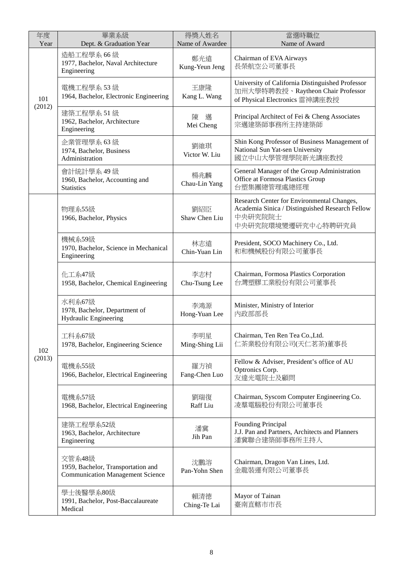| 年度<br>Year    | 畢業系級<br>Dept. & Graduation Year                                                         | 得獎人姓名<br>Name of Awardee | 當選時職位<br>Name of Award                                                                                                         |
|---------------|-----------------------------------------------------------------------------------------|--------------------------|--------------------------------------------------------------------------------------------------------------------------------|
|               | 造船工程學系 66 級<br>1977, Bachelor, Naval Architecture<br>Engineering                        | 鄭光遠<br>Kung-Yeun Jeng    | Chairman of EVA Airways<br>長榮航空公司董事長                                                                                           |
| 101<br>(2012) | 電機工程學系53級<br>1964, Bachelor, Electronic Engineering                                     | 王康隆<br>Kang L. Wang      | University of California Distinguished Professor<br>加州大學特聘教授、Raytheon Chair Professor<br>of Physical Electronics 雷神講座教授        |
|               | 建築工程學系 51 級<br>1962, Bachelor, Architecture<br>Engineering                              | 邁<br>陳<br>Mei Cheng      | Principal Architect of Fei & Cheng Associates<br>宗邁建築師事務所主持建築師                                                                 |
|               | 企業管理學系 63 級<br>1974, Bachelor, Business<br>Administration                               | 劉維琪<br>Victor W. Liu     | Shin Kong Professor of Business Management of<br>National Sun Yat-sen University<br>國立中山大學管理學院新光講座教授                           |
|               | 會計統計學系 49 級<br>1960, Bachelor, Accounting and<br><b>Statistics</b>                      | 楊兆麟<br>Chau-Lin Yang     | General Manager of the Group Administration<br>Office at Formosa Plastics Group<br>台塑集團總管理處總經理                                 |
|               | 物理系55級<br>1966, Bachelor, Physics                                                       | 劉紹臣<br>Shaw Chen Liu     | Research Center for Environmental Changes,<br>Academia Sinica / Distinguished Research Fellow<br>中央研究院院士<br>中央研究院環境變遷研究中心特聘研究員 |
|               | 機械系59級<br>1970, Bachelor, Science in Mechanical<br>Engineering                          | 林志遠<br>Chin-Yuan Lin     | President, SOCO Machinery Co., Ltd.<br>和和機械股份有限公司董事長                                                                           |
|               | 化工系47級<br>1958, Bachelor, Chemical Engineering                                          | 李志村<br>Chu-Tsung Lee     | Chairman, Formosa Plastics Corporation<br>台灣塑膠工業股份有限公司董事長                                                                      |
|               | 水利系67級<br>1978, Bachelor, Department of<br><b>Hydraulic Engineering</b>                 | 李鴻源<br>Hong-Yuan Lee     | Minister, Ministry of Interior<br>内政部部長                                                                                        |
| 102           | 工科系67級<br>1978, Bachelor, Engineering Science                                           | 李明星<br>Ming-Shing Lii    | Chairman, Ten Ren Tea Co., Ltd.<br>仁茶業股份有限公司(天仁茗茶)董事長                                                                          |
| (2013)        | 電機系55級<br>1966, Bachelor, Electrical Engineering                                        | 羅方禎<br>Fang-Chen Luo     | Fellow & Adviser, President's office of AU<br>Optronics Corp.<br>友達光電院士及顧問                                                     |
|               | 電機系57級<br>1968, Bachelor, Electrical Engineering                                        | 劉瑞復<br>Raff Liu          | Chairman, Syscom Computer Engineering Co.<br>凌羣電腦股份有限公司董事長                                                                     |
|               | 建築工程學系52級<br>1963, Bachelor, Architecture<br>Engineering                                | 潘冀<br>Jih Pan            | Founding Principal<br>J.J. Pan and Partners, Architects and Planners<br>潘冀聯合建築師事務所主持人                                          |
|               | 交管系48級<br>1959, Bachelor, Transportation and<br><b>Communication Management Science</b> | 沈鵬溶<br>Pan-Yohn Shen     | Chairman, Dragon Van Lines, Ltd.<br>金龍裝運有限公司董事長                                                                                |
|               | 學士後醫學系80級<br>1991, Bachelor, Post-Baccalaureate<br>Medical                              | 賴清德<br>Ching-Te Lai      | Mayor of Tainan<br>臺南直轄市市長                                                                                                     |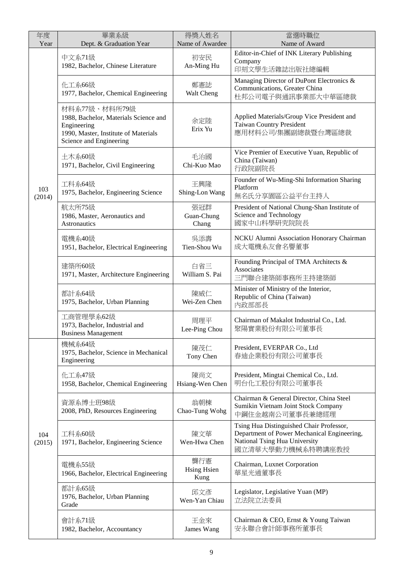| 年度<br>Year    | 畢業系級<br>Dept. & Graduation Year                                                                                                          | 得獎人姓名<br>Name of Awardee          | 當選時職位<br>Name of Award                                                                                                                        |
|---------------|------------------------------------------------------------------------------------------------------------------------------------------|-----------------------------------|-----------------------------------------------------------------------------------------------------------------------------------------------|
|               | 中文系71級<br>1982, Bachelor, Chinese Literature                                                                                             | 初安民<br>An-Ming Hu                 | Editor-in-Chief of INK Literary Publishing<br>Company<br>印刻文學生活雜誌出版社總編輯                                                                       |
|               | 化工系66級<br>1977, Bachelor, Chemical Engineering                                                                                           | 鄭憲誌<br>Walt Cheng                 | Managing Director of DuPont Electronics &<br>Communications, Greater China<br>杜邦公司電子與通訊事業部大中華區總裁                                              |
|               | 材料系77級、材料所79級<br>1988, Bachelor, Materials Science and<br>Engineering<br>1990, Master, Institute of Materials<br>Science and Engineering | 余定陸<br>Erix Yu                    | Applied Materials/Group Vice President and<br><b>Taiwan Country President</b><br>應用材料公司/集團副總裁暨台灣區總裁                                           |
|               | 土木系60級<br>1971, Bachelor, Civil Engineering                                                                                              | 毛治國<br>Chi-Kuo Mao                | Vice Premier of Executive Yuan, Republic of<br>China (Taiwan)<br>行政院副院長                                                                       |
| 103<br>(2014) | 工科系64級<br>1975, Bachelor, Engineering Science                                                                                            | 王興隆<br>Shing-Lon Wang             | Founder of Wu-Ming-Shi Information Sharing<br>Platform<br>無名氏分享園區公益平台主持人                                                                      |
|               | 航太所75級<br>1986, Master, Aeronautics and<br><b>Astronautics</b>                                                                           | 張冠群<br>Guan-Chung<br>Chang        | President of National Chung-Shan Institute of<br>Science and Technology<br>國家中山科學研究院院長                                                        |
|               | 電機系40級<br>1951, Bachelor, Electrical Engineering                                                                                         | 吳添壽<br>Tien-Shou Wu               | NCKU Alumni Association Honorary Chairman<br>成大電機系友會名譽董事                                                                                      |
|               | 建築所60級<br>1971, Master, Architecture Engineering                                                                                         | 白省三<br>William S. Pai             | Founding Principal of TMA Architects &<br>Associates<br>三門聯合建築師事務所主持建築師                                                                       |
|               | 都計系64級<br>1975, Bachelor, Urban Planning                                                                                                 | 陳威仁<br>Wei-Zen Chen               | Minister of Ministry of the Interior,<br>Republic of China (Taiwan)<br>内政部部長                                                                  |
|               | 工商管理學系62級<br>1973, Bachelor, Industrial and<br><b>Business Management</b>                                                                | 周理平<br>Lee-Ping Chou              | Chairman of Makalot Industrial Co., Ltd.<br>聚陽實業股份有限公司董事長                                                                                     |
|               | 機械系64級<br>1975, Bachelor, Science in Mechanical<br>Engineering                                                                           | 陳茂仁<br>Tony Chen                  | President, EVERPAR Co., Ltd<br>春迪企業股份有限公司董事長                                                                                                  |
|               | 化工系47級<br>1958, Bachelor, Chemical Engineering                                                                                           | 陳尚文<br>Hsiang-Wen Chen            | President, Mingtai Chemical Co., Ltd.<br>明台化工股份有限公司董事長                                                                                        |
|               | 資源系博士班98級<br>2008, PhD, Resources Engineering                                                                                            | 翁朝棟<br>Chao-Tung Wohg             | Chairman & General Director, China Steel<br>Sumikin Vietnam Joint Stock Company<br>中鋼住金越南公司董事長兼總經理                                            |
| 104<br>(2015) | 工科系60級<br>1971, Bachelor, Engineering Science                                                                                            | 陳文華<br>Wen-Hwa Chen               | Tsing Hua Distinguished Chair Professor,<br>Department of Power Mechanical Engineering,<br>National Tsing Hua University<br>國立清華大學動力機械系特聘講座教授 |
|               | 電機系55級<br>1966, Bachelor, Electrical Engineering                                                                                         | 龔行憲<br><b>Hsing Hsien</b><br>Kung | Chairman, Luxnet Corporation<br>華星光通董事長                                                                                                       |
|               | 都計系65級<br>1976, Bachelor, Urban Planning<br>Grade                                                                                        | 邱文彥<br>Wen-Yan Chiau              | Legislator, Legislative Yuan (MP)<br>立法院立法委員                                                                                                  |
|               | 會計系71級<br>1982, Bachelor, Accountancy                                                                                                    | 王金來<br>James Wang                 | Chairman & CEO, Ernst & Young Taiwan<br>安永聯合會計師事務所董事長                                                                                         |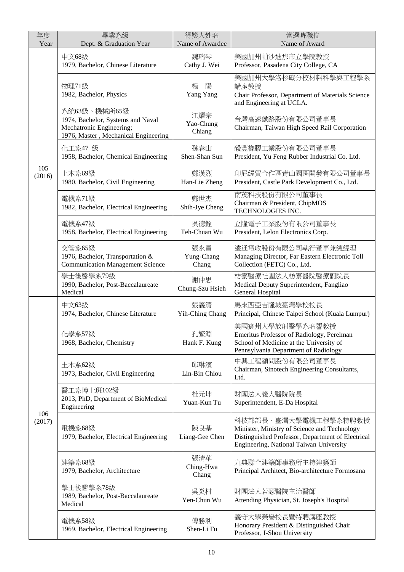| 年度<br>Year    | 畢業系級<br>Dept. & Graduation Year                                                                                       | 得獎人姓名<br>Name of Awardee   | 當選時職位<br>Name of Award                                                                                                                                               |
|---------------|-----------------------------------------------------------------------------------------------------------------------|----------------------------|----------------------------------------------------------------------------------------------------------------------------------------------------------------------|
|               | 中文68級<br>1979, Bachelor, Chinese Literature                                                                           | 魏瑞琴<br>Cathy J. Wei        | 美國加州帕沙迪那市立學院教授<br>Professor, Pasadena City College, CA                                                                                                               |
|               | 物理71級<br>1982, Bachelor, Physics                                                                                      | 楊<br>陽<br>Yang Yang        | 美國加州大學洛杉磯分校材料科學與工程學系<br>講座教授<br>Chair Professor, Department of Materials Science<br>and Engineering at UCLA.                                                         |
|               | 系統63級、機械所65級<br>1974, Bachelor, Systems and Naval<br>Mechatronic Engineering;<br>1976, Master, Mechanical Engineering | 江耀宗<br>Yao-Chung<br>Chiang | 台灣高速鐵路股份有限公司董事長<br>Chairman, Taiwan High Speed Rail Corporation                                                                                                      |
|               | 化工系47 級<br>1958, Bachelor, Chemical Engineering                                                                       | 孫春山<br>Shen-Shan Sun       | 毅豐橡膠工業股份有限公司董事長<br>President, Yu Feng Rubber Industrial Co. Ltd.                                                                                                     |
| 105<br>(2016) | 土木系69級<br>1980, Bachelor, Civil Engineering                                                                           | 鄭漢烈<br>Han-Lie Zheng       | 印尼經貿合作區青山園區開發有限公司董事長<br>President, Castle Park Development Co., Ltd.                                                                                                 |
|               | 電機系71級<br>1982, Bachelor, Electrical Engineering                                                                      | 鄭世杰<br>Shih-Jye Cheng      | 南茂科技股份有限公司董事長<br>Chairman & President, ChipMOS<br>TECHNOLOGIES INC.                                                                                                  |
|               | 電機系47級<br>1958, Bachelor, Electrical Engineering                                                                      | 吳德銓<br>Teh-Chuan Wu        | 立隆電子工業股份有限公司董事長<br>President, Lelon Electronics Corp.                                                                                                                |
|               | 交管系65級<br>1976, Bachelor, Transportation &<br><b>Communication Management Science</b>                                 | 張永昌<br>Yung-Chang<br>Chang | 遠通電收股份有限公司執行董事兼總經理<br>Managing Director, Far Eastern Electronic Toll<br>Collection (FETC) Co., Ltd.                                                                  |
|               | 學士後醫學系79級<br>1990, Bachelor, Post-Baccalaureate<br>Medical                                                            | 謝仲思<br>Chung-Szu Hsieh     | 枋寮醫療社團法人枋寮醫院醫療副院長<br>Medical Deputy Superintendent, Fangliao<br>General Hospital                                                                                     |
|               | 中文63級<br>1974, Bachelor, Chinese Literature                                                                           | 張義清<br>Yih-Ching Chang     | 馬來西亞吉隆坡臺灣學校校長<br>Principal, Chinese Taipei School (Kuala Lumpur)                                                                                                     |
|               | 化學系57級<br>1968, Bachelor, Chemistry                                                                                   | 孔繁淵<br>Hank F. Kung        | 美國賓州大學放射醫學系名譽教授<br>Emeritus Professor of Radiology, Perelman<br>School of Medicine at the University of<br>Pennsylvania Department of Radiology                      |
|               | 土木系62級<br>1973, Bachelor, Civil Engineering                                                                           | 邱琳濱<br>Lin-Bin Chiou       | 中興工程顧問股份有限公司董事長<br>Chairman, Sinotech Engineering Consultants,<br>Ltd.                                                                                               |
|               | 醫工系博士班102級<br>2013, PhD, Department of BioMedical<br>Engineering                                                      | 杜元坤<br>Yuan-Kun Tu         | 財團法人義大醫院院長<br>Superintendent, E-Da Hospital                                                                                                                          |
| 106<br>(2017) | 電機系68級<br>1979, Bachelor, Electrical Engineering                                                                      | 陳良基<br>Liang-Gee Chen      | 科技部部長、臺灣大學電機工程學系特聘教授<br>Minister, Ministry of Science and Technology<br>Distinguished Professor, Department of Electrical<br>Engineering, National Taiwan University |
|               | 建築系68級<br>1979, Bachelor, Architecture                                                                                | 張清華<br>Ching-Hwa<br>Chang  | 九典聯合建築師事務所主持建築師<br>Principal Architect, Bio-architecture Formosana                                                                                                   |
|               | 學士後醫學系78級<br>1989, Bachelor, Post-Baccalaureate<br>Medical                                                            | 吳炎村<br>Yen-Chun Wu         | 財團法人若瑟醫院主治醫師<br>Attending Physician, St. Joseph's Hospital                                                                                                           |
|               | 電機系58級<br>1969, Bachelor, Electrical Engineering                                                                      | 傅勝利<br>Shen-Li Fu          | 義守大學榮譽校長暨特聘講座教授<br>Honorary President & Distinguished Chair<br>Professor, I-Shou University                                                                          |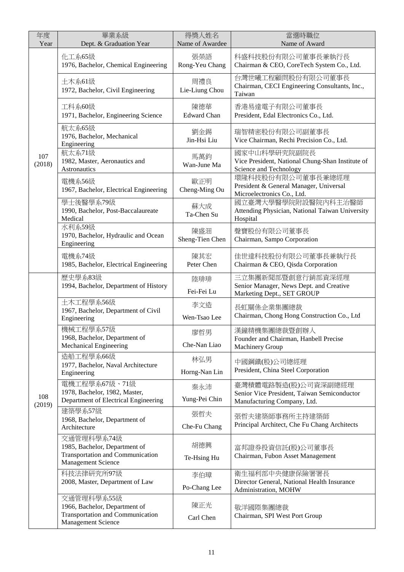| 年度<br>Year    | 畢業系級<br>Dept. & Graduation Year                                                                              | 得獎人姓名<br>Name of Awardee  | 當選時職位<br>Name of Award                                                                            |
|---------------|--------------------------------------------------------------------------------------------------------------|---------------------------|---------------------------------------------------------------------------------------------------|
|               | 化工系65級<br>1976, Bachelor, Chemical Engineering                                                               | 張榮語<br>Rong-Yeu Chang     | 科盛科技股份有限公司董事長兼執行長<br>Chairman & CEO, CoreTech System Co., Ltd.                                    |
|               | 土木系61級<br>1972, Bachelor, Civil Engineering                                                                  | 周禮良<br>Lie-Liung Chou     | 台灣世曦工程顧問股份有限公司董事長<br>Chairman, CECI Engineering Consultants, Inc.,<br>Taiwan                      |
|               | 工科系60級<br>1971, Bachelor, Engineering Science                                                                | 陳德華<br><b>Edward Chan</b> | 香港易達電子有限公司董事長<br>President, Edal Electronics Co., Ltd.                                            |
|               | 航太系65級<br>1976, Bachelor, Mechanical<br>Engineering                                                          | 劉金錫<br>Jin-Hsi Liu        | 瑞智精密股份有限公司副董事長<br>Vice Chairman, Rechi Precision Co., Ltd.                                        |
| 107<br>(2018) | 航太系71級<br>1982, Master, Aeronautics and<br>Astronautics                                                      | 馬萬鈞<br>Wan-June Ma        | 國家中山科學研究院副院長<br>Vice President, National Chung-Shan Institute of<br>Science and Technology        |
|               | 電機系56級<br>1967, Bachelor, Electrical Engineering                                                             | 歐正明<br>Cheng-Ming Ou      | 環隆科技股份有限公司董事長兼總經理<br>President & General Manager, Universal<br>Microelectronics Co., Ltd.         |
|               | 學士後醫學系79級<br>1990, Bachelor, Post-Baccalaureate<br>Medical                                                   | 蘇大成<br>Ta-Chen Su         | 國立臺灣大學醫學院附設醫院內科主治醫師<br>Attending Physician, National Taiwan University<br>Hospital                |
|               | 水利系59級<br>1970, Bachelor, Hydraulic and Ocean<br>Engineering                                                 | 陳盛沺<br>Sheng-Tien Chen    | 聲寶股份有限公司董事長<br>Chairman, Sampo Corporation                                                        |
|               | 電機系74級<br>1985, Bachelor, Electrical Engineering                                                             | 陳其宏<br>Peter Chen         | 佳世達科技股份有限公司董事長兼執行長<br>Chairman & CEO, Qisda Corporation                                           |
|               | 歷史學系83級<br>1994, Bachelor, Department of History                                                             | 陸琲琲<br>Fei-Fei Lu         | 三立集團新聞部暨創意行銷部資深經理<br>Senior Manager, News Dept. and Creative<br>Marketing Dept., SET GROUP        |
|               | 土木工程學系56級<br>1967, Bachelor, Department of Civil<br>Engineering                                              | 李文造<br>Wen-Tsao Lee       | 長虹關係企業集團總裁<br>Chairman, Chong Hong Construction Co., Ltd                                          |
|               | 機械工程學系57級<br>1968, Bachelor, Department of<br><b>Mechanical Engineering</b>                                  | 廖哲男<br>Che-Nan Liao       | 漢鐘精機集團總裁暨創辦人<br>Founder and Chairman, Hanbell Precise<br><b>Machinery Group</b>                   |
|               | 造船工程學系66級<br>1977, Bachelor, Naval Architecture<br>Engineering                                               | 林弘男<br>Horng-Nan Lin      | 中國鋼鐵(股)公司總經理<br>President, China Steel Corporation                                                |
| 108           | 電機工程學系67級、71級<br>1978, Bachelor, 1982, Master,<br>Department of Electrical Engineering                       | 秦永沛<br>Yung-Pei Chin      | 臺灣積體電路製造(股)公司資深副總經理<br>Senior Vice President, Taiwan Semiconductor<br>Manufacturing Company, Ltd. |
| (2019)        | 建築學系57級<br>1968, Bachelor, Department of<br>Architecture                                                     | 張哲夫<br>Che-Fu Chang       | 張哲夫建築師事務所主持建築師<br>Principal Architect, Che Fu Chang Architects                                    |
|               | 交通管理科學系74級<br>1985, Bachelor, Department of<br>Transportation and Communication<br><b>Management Science</b> | 胡德興<br>Te-Hsing Hu        | 富邦證券投資信託(股)公司董事長<br>Chairman, Fubon Asset Management                                              |
|               | 科技法律研究所97級<br>2008, Master, Department of Law                                                                | 李伯璋<br>Po-Chang Lee       | 衛生福利部中央健康保險署署長<br>Director General, National Health Insurance<br>Administration, MOHW             |
|               | 交通管理科學系55級<br>1966, Bachelor, Department of<br>Transportation and Communication<br>Management Science        | 陳正光<br>Carl Chen          | 敬洋國際集團總裁<br>Chairman, SPI West Port Group                                                         |